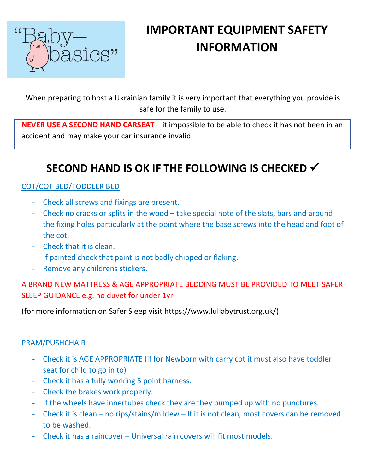

# **IMPORTANT EQUIPMENT SAFETY INFORMATION**

When preparing to host a Ukrainian family it is very important that everything you provide is safe for the family to use.

**NEVER USE A SECOND HAND CARSEAT** – it impossible to be able to check it has not been in an accident and may make your car insurance invalid.

# **SECOND HAND IS OK IF THE FOLLOWING IS CHECKED** ✓

### COT/COT BED/TODDLER BED

- Check all screws and fixings are present.
- Check no cracks or splits in the wood take special note of the slats, bars and around the fixing holes particularly at the point where the base screws into the head and foot of the cot.
- Check that it is clean.
- If painted check that paint is not badly chipped or flaking.
- Remove any childrens stickers.

## A BRAND NEW MATTRESS & AGE APPROPRIATE BEDDING MUST BE PROVIDED TO MEET SAFER SLEEP GUIDANCE e.g. no duvet for under 1yr

(for more information on Safer Sleep visit https://www.lullabytrust.org.uk/)

#### PRAM/PUSHCHAIR

- Check it is AGE APPROPRIATE (if for Newborn with carry cot it must also have toddler seat for child to go in to)
- Check it has a fully working 5 point harness.
- Check the brakes work properly.
- If the wheels have innertubes check they are they pumped up with no punctures.
- Check it is clean no rips/stains/mildew If it is not clean, most covers can be removed to be washed.
- Check it has a raincover Universal rain covers will fit most models.